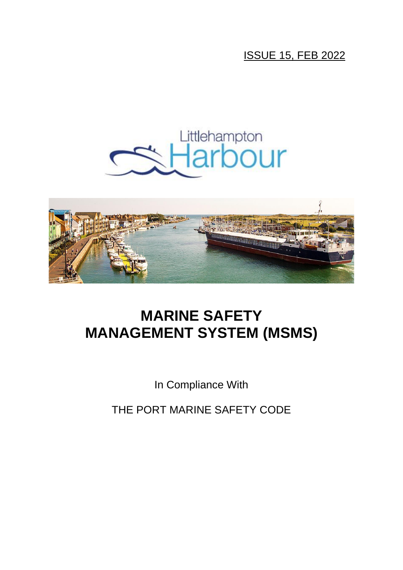## ISSUE 15, FEB 2022





# **MARINE SAFETY MANAGEMENT SYSTEM (MSMS)**

In Compliance With

THE PORT MARINE SAFETY CODE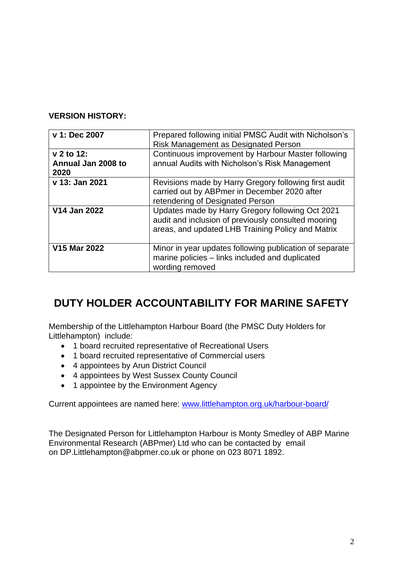### **VERSION HISTORY:**

| v 1: Dec 2007                            | Prepared following initial PMSC Audit with Nicholson's<br>Risk Management as Designated Person                                                               |
|------------------------------------------|--------------------------------------------------------------------------------------------------------------------------------------------------------------|
| v 2 to 12:<br>Annual Jan 2008 to<br>2020 | Continuous improvement by Harbour Master following<br>annual Audits with Nicholson's Risk Management                                                         |
| v 13: Jan 2021                           | Revisions made by Harry Gregory following first audit<br>carried out by ABPmer in December 2020 after<br>retendering of Designated Person                    |
| V14 Jan 2022                             | Updates made by Harry Gregory following Oct 2021<br>audit and inclusion of previously consulted mooring<br>areas, and updated LHB Training Policy and Matrix |
| <b>V15 Mar 2022</b>                      | Minor in year updates following publication of separate<br>marine policies - links included and duplicated<br>wording removed                                |

## **DUTY HOLDER ACCOUNTABILITY FOR MARINE SAFETY**

Membership of the Littlehampton Harbour Board (the PMSC Duty Holders for Littlehampton) include:

- 1 board recruited representative of Recreational Users
- 1 board recruited representative of Commercial users
- 4 appointees by Arun District Council
- 4 appointees by West Sussex County Council
- 1 appointee by the Environment Agency

Current appointees are named here: [www.littlehampton.org.uk/harbour-board/](http://www.littlehampton.org.uk/harbour-board/)

The Designated Person for Littlehampton Harbour is Monty Smedley of [ABP Marine](https://www.abpmer.co.uk/)  [Environmental Research \(ABPmer\) Ltd](https://www.abpmer.co.uk/) who can be contacted by email on [DP.Littlehampton@abpmer.co.uk](mailto:DP.Littlehampton@abpmer.co.uk) or phone on 023 8071 1892.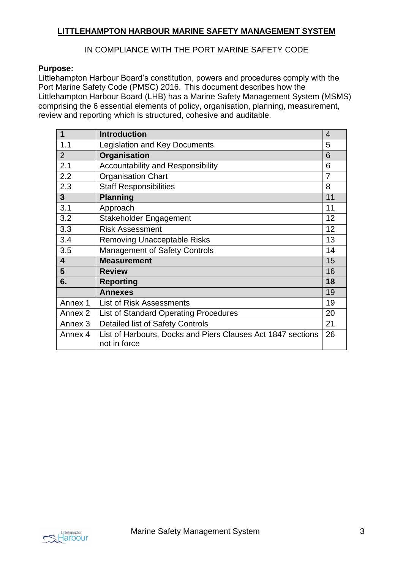## **LITTLEHAMPTON HARBOUR MARINE SAFETY MANAGEMENT SYSTEM**

### IN COMPLIANCE WITH THE PORT MARINE SAFETY CODE

#### **Purpose:**

Littlehampton Harbour Board's constitution, powers and procedures comply with the Port Marine Safety Code (PMSC) 2016. This document describes how the Littlehampton Harbour Board (LHB) has a Marine Safety Management System (MSMS) comprising the 6 essential elements of policy, organisation, planning, measurement, review and reporting which is structured, cohesive and auditable.

| 1                       | <b>Introduction</b>                                                         | $\overline{4}$ |
|-------------------------|-----------------------------------------------------------------------------|----------------|
| 1.1                     | <b>Legislation and Key Documents</b>                                        | 5              |
| $\overline{2}$          | Organisation                                                                | 6              |
| 2.1                     | <b>Accountability and Responsibility</b>                                    | 6              |
| 2.2                     | <b>Organisation Chart</b>                                                   | $\overline{7}$ |
| 2.3                     | <b>Staff Responsibilities</b>                                               | 8              |
| 3                       | <b>Planning</b>                                                             | 11             |
| 3.1                     | Approach                                                                    | 11             |
| 3.2                     | Stakeholder Engagement                                                      | 12             |
| 3.3                     | <b>Risk Assessment</b>                                                      | 12             |
| 3.4                     | <b>Removing Unacceptable Risks</b>                                          | 13             |
| 3.5                     | <b>Management of Safety Controls</b>                                        | 14             |
| $\overline{\mathbf{4}}$ | <b>Measurement</b>                                                          | 15             |
| 5                       | <b>Review</b>                                                               | 16             |
| 6.                      | <b>Reporting</b>                                                            | 18             |
|                         | <b>Annexes</b>                                                              | 19             |
| Annex 1                 | <b>List of Risk Assessments</b>                                             | 19             |
| Annex 2                 | <b>List of Standard Operating Procedures</b>                                | 20             |
| Annex <sub>3</sub>      | <b>Detailed list of Safety Controls</b>                                     | 21             |
| Annex 4                 | List of Harbours, Docks and Piers Clauses Act 1847 sections<br>not in force | 26             |

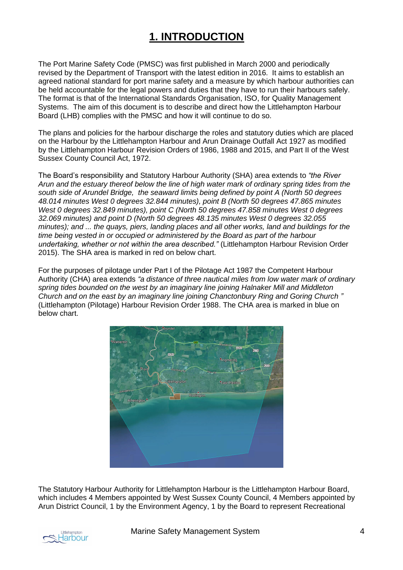## **1. INTRODUCTION**

The Port Marine Safety Code (PMSC) was first published in March 2000 and periodically revised by the Department of Transport with the latest edition in 2016. It aims to establish an agreed national standard for port marine safety and a measure by which harbour authorities can be held accountable for the legal powers and duties that they have to run their harbours safely. The format is that of the International Standards Organisation, ISO, for Quality Management Systems. The aim of this document is to describe and direct how the Littlehampton Harbour Board (LHB) complies with the PMSC and how it will continue to do so.

The plans and policies for the harbour discharge the roles and statutory duties which are placed on the Harbour by the Littlehampton Harbour and Arun Drainage Outfall Act 1927 as modified by the Littlehampton Harbour Revision Orders of 1986, 1988 and 2015, and Part II of the West Sussex County Council Act, 1972.

The Board's responsibility and Statutory Harbour Authority (SHA) area extends to *"the River Arun and the estuary thereof below the line of high water mark of ordinary spring tides from the south side of Arundel Bridge, the seaward limits being defined by point A (North 50 degrees 48.014 minutes West 0 degrees 32.844 minutes), point B (North 50 degrees 47.865 minutes West 0 degrees 32.849 minutes), point C (North 50 degrees 47.858 minutes West 0 degrees 32.069 minutes) and point D (North 50 degrees 48.135 minutes West 0 degrees 32.055 minutes); and ... the quays, piers, landing places and all other works, land and buildings for the time being vested in or occupied or administered by the Board as part of the harbour undertaking, whether or not within the area described."* (Littlehampton Harbour Revision Order 2015). The SHA area is marked in red on below chart.

For the purposes of pilotage under Part I of the Pilotage Act 1987 the Competent Harbour Authority (CHA) area extends *"a distance of three nautical miles from low water mark of ordinary spring tides bounded on the west by an imaginary line joining Halnaker Mill and Middleton Church and on the east by an imaginary line joining Chanctonbury Ring and Goring Church "* (Littlehampton (Pilotage) Harbour Revision Order 1988. The CHA area is marked in blue on below chart.



The Statutory Harbour Authority for Littlehampton Harbour is the Littlehampton Harbour Board, which includes 4 Members appointed by West Sussex County Council, 4 Members appointed by Arun District Council, 1 by the Environment Agency, 1 by the Board to represent Recreational

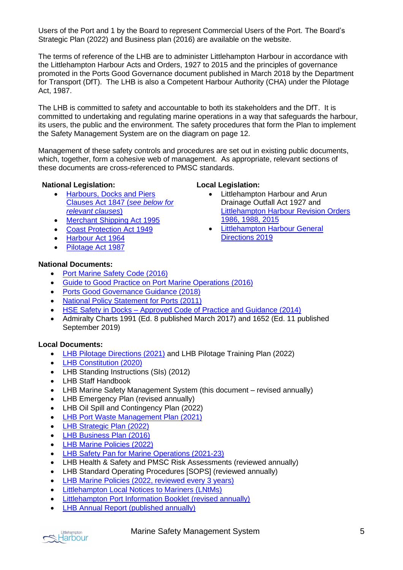Users of the Port and 1 by the Board to represent Commercial Users of the Port. The Board's Strategic Plan (2022) and Business plan (2016) are available on the website.

The terms of reference of the LHB are to administer Littlehampton Harbour in accordance with the Littlehampton Harbour Acts and Orders, 1927 to 2015 and the principles of governance promoted in the Ports Good Governance document published in March 2018 by the Department for Transport (DfT). The LHB is also a Competent Harbour Authority (CHA) under the Pilotage Act, 1987.

The LHB is committed to safety and accountable to both its stakeholders and the DfT. It is committed to undertaking and regulating marine operations in a way that safeguards the harbour, its users, the public and the environment. The safety procedures that form the Plan to implement the Safety Management System are on the diagram on page 12.

Management of these safety controls and procedures are set out in existing public documents, which, together, form a cohesive web of management. As appropriate, relevant sections of these documents are cross-referenced to PMSC standards.

**Local Legislation:**

• Littlehampton Harbour and Arun Drainage Outfall Act 1927 and

• [Littlehampton Harbour General](https://www.littlehampton.org.uk/wp-content/uploads/2019/04/Revised-General-Directions_02.4.19_FINAL-1.pdf) 

[1986, 1988, 2015](https://www.legislation.gov.uk/uksi/2015/1387/part/1/made)

[Directions 2019](https://www.littlehampton.org.uk/wp-content/uploads/2019/04/Revised-General-Directions_02.4.19_FINAL-1.pdf)

[Littlehampton Harbour Revision Orders](https://www.legislation.gov.uk/uksi/2015/1387/part/1/made) 

#### **National Legislation:**

- [Harbours, Docks and Piers](https://www.legislation.gov.uk/ukpga/Vict/10-11/27/contents)  [Clauses Act 1847 \(](https://www.legislation.gov.uk/ukpga/Vict/10-11/27/contents)*see below for [relevant clauses](https://www.legislation.gov.uk/ukpga/Vict/10-11/27/contents)*)
- [Merchant Shipping Act 1995](https://www.legislation.gov.uk/ukpga/1995/21/contents)
- [Coast Protection Act 1949](https://www.legislation.gov.uk/ukpga/Geo6/12-13-14/74)
- [Harbour Act 1964](https://www.legislation.gov.uk/ukpga/1964/40/contents)
- [Pilotage Act 1987](https://www.legislation.gov.uk/ukpga/1987/21/contents)

#### **National Documents:**

- [Port Marine Safety Code \(2016\)](https://assets.publishing.service.gov.uk/government/uploads/system/uploads/attachment_data/file/918935/port-marine-safety-code.pdf)
- [Guide to Good Practice on Port Marine Operations \(2016\)](https://assets.publishing.service.gov.uk/government/uploads/system/uploads/attachment_data/file/854521/MCGA-Port_Marine_Guide_to_Good_Practice_NEW-links.pdf)
- [Ports Good Governance Guidance \(2018\)](https://assets.publishing.service.gov.uk/government/uploads/system/uploads/attachment_data/file/918508/ports-good-governance-guidance.pdf)
- [National Policy Statement for Ports \(2011\)](https://assets.publishing.service.gov.uk/government/uploads/system/uploads/attachment_data/file/3931/national-policy-statement-ports.pdf)
- HSE Safety in Docks [Approved Code of Practice and Guidance \(2014\)](https://www.hse.gov.uk/pubns/priced/l148.pdf)
- Admiralty Charts 1991 (Ed. 8 published March 2017) and 1652 (Ed. 11 published September 2019)

#### **Local Documents:**

- [LHB Pilotage Directions \(2021\)](https://www.littlehampton.org.uk/wp-content/uploads/2021/11/PILOTAGE-DIRECTIONS-UPDATE-NOV-2021_Final.pdf) and LHB Pilotage Training Plan (2022)
- [LHB Constitution \(2020\)](https://www.littlehampton.org.uk/constitution/)
- LHB Standing Instructions (SIs) (2012)
- LHB Staff Handbook
- LHB Marine Safety Management System (this document revised annually)
- LHB Emergency Plan (revised annually)
- LHB Oil Spill and Contingency Plan (2022)
- [LHB Port Waste Management Plan \(2021\)](https://www.littlehampton.org.uk/wp-content/uploads/2021/10/Port-Waste-Plan-2021-approved-1.pdf)
- [LHB Strategic Plan](https://www.littlehampton.org.uk/wp-content/uploads/2020/08/Littlehampton-Harbour-Strategic-Outlook.pdf) (2022)
- [LHB Business Plan \(2016\)](https://www.littlehampton.org.uk/wp-content/uploads/2019/07/LHB-Business-Plan-2016_For-Stakeholders.pdf)
- [LHB Marine Policies \(2022\)](https://www.littlehampton.org.uk/marine-policies/)
- [LHB Safety Pan for Marine Operations \(2021-23\)](https://www.littlehampton.org.uk/wp-content/uploads/2021/01/LHB-Marine-Safety-Plan-2021-23_Issue-1-Jan-2021.pdf)
- LHB Health & Safety and PMSC Risk Assessments (reviewed annually)
- LHB Standard Operating Procedures [SOPS] (reviewed annually)
- [LHB Marine Policies \(2022, reviewed](https://www.littlehampton.org.uk/marine-policies/) every 3 years)
- [Littlehampton Local Notices to Mariners \(LNtMs\)](https://www.littlehampton.org.uk/local-notices-to-mariners/)
- [Littlehampton Port Information Booklet \(revised annually\)](https://www.littlehampton.org.uk/about-littlehampton-harbour/port-information-booklet/)
- [LHB Annual Report \(published annually\)](https://www.littlehampton.org.uk/wp-content/uploads/2021/06/LH-ANNUAL-REPORT-2020-21.pdf)



#### Marine Safety Management System **5** and 5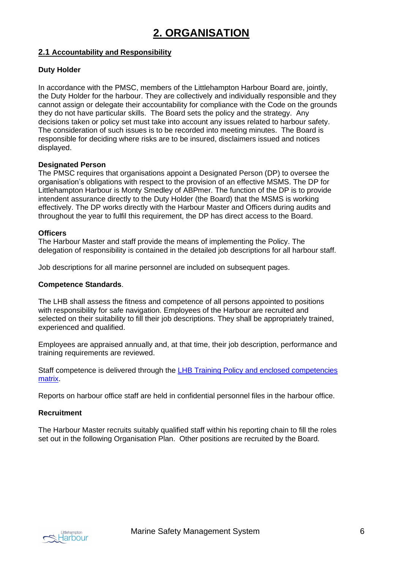### **2.1 Accountability and Responsibility**

#### **Duty Holder**

In accordance with the PMSC, members of the Littlehampton Harbour Board are, jointly, the Duty Holder for the harbour. They are collectively and individually responsible and they cannot assign or delegate their accountability for compliance with the Code on the grounds they do not have particular skills. The Board sets the policy and the strategy. Any decisions taken or policy set must take into account any issues related to harbour safety. The consideration of such issues is to be recorded into meeting minutes. The Board is responsible for deciding where risks are to be insured, disclaimers issued and notices displayed.

#### **Designated Person**

The PMSC requires that organisations appoint a Designated Person (DP) to oversee the organisation's obligations with respect to the provision of an effective MSMS. The DP for Littlehampton Harbour is Monty Smedley of ABPmer. The function of the DP is to provide intendent assurance directly to the Duty Holder (the Board) that the MSMS is working effectively. The DP works directly with the Harbour Master and Officers during audits and throughout the year to fulfil this requirement, the DP has direct access to the Board.

#### **Officers**

The Harbour Master and staff provide the means of implementing the Policy. The delegation of responsibility is contained in the detailed job descriptions for all harbour staff.

Job descriptions for all marine personnel are included on subsequent pages.

#### **Competence Standards**.

The LHB shall assess the fitness and competence of all persons appointed to positions with responsibility for safe navigation. Employees of the Harbour are recruited and selected on their suitability to fill their job descriptions. They shall be appropriately trained, experienced and qualified.

Employees are appraised annually and, at that time, their job description, performance and training requirements are reviewed.

Staff competence is delivered through the LHB Training Policy and enclosed [competencies](https://www.littlehampton.org.uk/wp-content/uploads/2022/02/LHB-Policy_Training_Signed-Feb22.pdf)  [matrix.](https://www.littlehampton.org.uk/wp-content/uploads/2022/02/LHB-Policy_Training_Signed-Feb22.pdf)

Reports on harbour office staff are held in confidential personnel files in the harbour office.

#### **Recruitment**

The Harbour Master recruits suitably qualified staff within his reporting chain to fill the roles set out in the following Organisation Plan. Other positions are recruited by the Board.

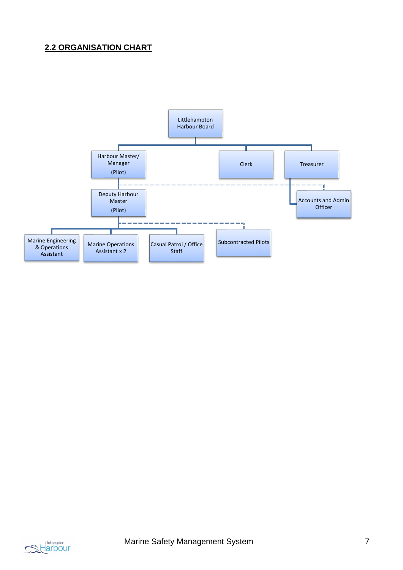## **2.2 ORGANISATION CHART**



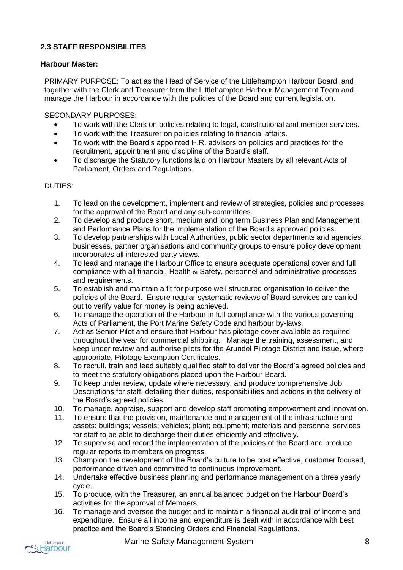### **2.3 STAFF RESPONSIBILITES**

#### **Harbour Master:**

PRIMARY PURPOSE: To act as the Head of Service of the Littlehampton Harbour Board, and together with the Clerk and Treasurer form the Littlehampton Harbour Management Team and manage the Harbour in accordance with the policies of the Board and current legislation.

#### SECONDARY PURPOSES:

- To work with the Clerk on policies relating to legal, constitutional and member services.
- To work with the Treasurer on policies relating to financial affairs.
- To work with the Board's appointed H.R. advisors on policies and practices for the recruitment, appointment and discipline of the Board's staff.
- To discharge the Statutory functions laid on Harbour Masters by all relevant Acts of Parliament, Orders and Regulations.

#### DUTIES:

- 1. To lead on the development, implement and review of strategies, policies and processes for the approval of the Board and any sub-committees.
- 2. To develop and produce short, medium and long term Business Plan and Management and Performance Plans for the implementation of the Board's approved policies.
- 3. To develop partnerships with Local Authorities, public sector departments and agencies, businesses, partner organisations and community groups to ensure policy development incorporates all interested party views.
- 4. To lead and manage the Harbour Office to ensure adequate operational cover and full compliance with all financial, Health & Safety, personnel and administrative processes and requirements.
- 5. To establish and maintain a fit for purpose well structured organisation to deliver the policies of the Board. Ensure regular systematic reviews of Board services are carried out to verify value for money is being achieved.
- 6. To manage the operation of the Harbour in full compliance with the various governing Acts of Parliament, the Port Marine Safety Code and harbour by-laws.
- 7. Act as Senior Pilot and ensure that Harbour has pilotage cover available as required throughout the year for commercial shipping. Manage the training, assessment, and keep under review and authorise pilots for the Arundel Pilotage District and issue, where appropriate, Pilotage Exemption Certificates.
- 8. To recruit, train and lead suitably qualified staff to deliver the Board's agreed policies and to meet the statutory obligations placed upon the Harbour Board.
- 9. To keep under review, update where necessary, and produce comprehensive Job Descriptions for staff, detailing their duties, responsibilities and actions in the delivery of the Board's agreed policies.
- 10. To manage, appraise, support and develop staff promoting empowerment and innovation.
- 11. To ensure that the provision, maintenance and management of the infrastructure and assets: buildings; vessels; vehicles; plant; equipment; materials and personnel services for staff to be able to discharge their duties efficiently and effectively.
- 12. To supervise and record the implementation of the policies of the Board and produce regular reports to members on progress.
- 13. Champion the development of the Board's culture to be cost effective, customer focused, performance driven and committed to continuous improvement.
- 14. Undertake effective business planning and performance management on a three yearly cycle.
- 15. To produce, with the Treasurer, an annual balanced budget on the Harbour Board's activities for the approval of Members.
- 16. To manage and oversee the budget and to maintain a financial audit trail of income and expenditure. Ensure all income and expenditure is dealt with in accordance with best practice and the Board's Standing Orders and Financial Regulations.

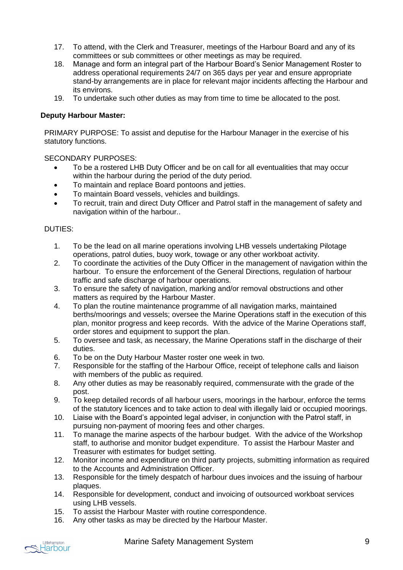- 17. To attend, with the Clerk and Treasurer, meetings of the Harbour Board and any of its committees or sub committees or other meetings as may be required.
- 18. Manage and form an integral part of the Harbour Board's Senior Management Roster to address operational requirements 24/7 on 365 days per year and ensure appropriate stand-by arrangements are in place for relevant major incidents affecting the Harbour and its environs.
- 19. To undertake such other duties as may from time to time be allocated to the post.

#### **Deputy Harbour Master:**

PRIMARY PURPOSE: To assist and deputise for the Harbour Manager in the exercise of his statutory functions.

SECONDARY PURPOSES:

- To be a rostered LHB Duty Officer and be on call for all eventualities that may occur within the harbour during the period of the duty period.
- To maintain and replace Board pontoons and jetties.
- To maintain Board vessels, vehicles and buildings.
- To recruit, train and direct Duty Officer and Patrol staff in the management of safety and navigation within of the harbour..

#### DUTIES:

- 1. To be the lead on all marine operations involving LHB vessels undertaking Pilotage operations, patrol duties, buoy work, towage or any other workboat activity.
- 2. To coordinate the activities of the Duty Officer in the management of navigation within the harbour. To ensure the enforcement of the General Directions, regulation of harbour traffic and safe discharge of harbour operations.
- 3. To ensure the safety of navigation, marking and/or removal obstructions and other matters as required by the Harbour Master.
- 4. To plan the routine maintenance programme of all navigation marks, maintained berths/moorings and vessels; oversee the Marine Operations staff in the execution of this plan, monitor progress and keep records. With the advice of the Marine Operations staff, order stores and equipment to support the plan.
- 5. To oversee and task, as necessary, the Marine Operations staff in the discharge of their duties.
- 6. To be on the Duty Harbour Master roster one week in two.
- 7. Responsible for the staffing of the Harbour Office, receipt of telephone calls and liaison with members of the public as required.
- 8. Any other duties as may be reasonably required, commensurate with the grade of the post.
- 9. To keep detailed records of all harbour users, moorings in the harbour, enforce the terms of the statutory licences and to take action to deal with illegally laid or occupied moorings.
- 10. Liaise with the Board's appointed legal adviser, in conjunction with the Patrol staff, in pursuing non-payment of mooring fees and other charges.
- 11. To manage the marine aspects of the harbour budget. With the advice of the Workshop staff, to authorise and monitor budget expenditure. To assist the Harbour Master and Treasurer with estimates for budget setting.
- 12. Monitor income and expenditure on third party projects, submitting information as required to the Accounts and Administration Officer.
- 13. Responsible for the timely despatch of harbour dues invoices and the issuing of harbour plaques.
- 14. Responsible for development, conduct and invoicing of outsourced workboat services using LHB vessels.
- 15. To assist the Harbour Master with routine correspondence.
- 16. Any other tasks as may be directed by the Harbour Master.

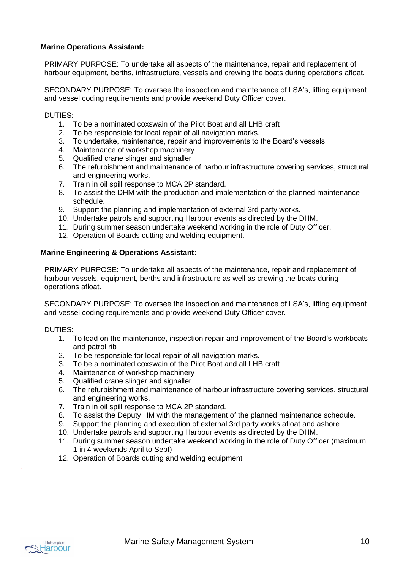#### **Marine Operations Assistant:**

PRIMARY PURPOSE: To undertake all aspects of the maintenance, repair and replacement of harbour equipment, berths, infrastructure, vessels and crewing the boats during operations afloat.

SECONDARY PURPOSE: To oversee the inspection and maintenance of LSA's, lifting equipment and vessel coding requirements and provide weekend Duty Officer cover.

#### DUTIES:

- 1. To be a nominated coxswain of the Pilot Boat and all LHB craft
- 2. To be responsible for local repair of all navigation marks.
- 3. To undertake, maintenance, repair and improvements to the Board's vessels.
- 4. Maintenance of workshop machinery
- 5. Qualified crane slinger and signaller
- 6. The refurbishment and maintenance of harbour infrastructure covering services, structural and engineering works.
- 7. Train in oil spill response to MCA 2P standard.
- 8. To assist the DHM with the production and implementation of the planned maintenance schedule.
- 9. Support the planning and implementation of external 3rd party works.
- 10. Undertake patrols and supporting Harbour events as directed by the DHM.
- 11. During summer season undertake weekend working in the role of Duty Officer.
- 12. Operation of Boards cutting and welding equipment.

#### **Marine Engineering & Operations Assistant:**

PRIMARY PURPOSE: To undertake all aspects of the maintenance, repair and replacement of harbour vessels, equipment, berths and infrastructure as well as crewing the boats during operations afloat.

SECONDARY PURPOSE: To oversee the inspection and maintenance of LSA's, lifting equipment and vessel coding requirements and provide weekend Duty Officer cover.

#### DUTIES:

- 1. To lead on the maintenance, inspection repair and improvement of the Board's workboats and patrol rib
- 2. To be responsible for local repair of all navigation marks.
- 3. To be a nominated coxswain of the Pilot Boat and all LHB craft
- 4. Maintenance of workshop machinery
- 5. Qualified crane slinger and signaller
- 6. The refurbishment and maintenance of harbour infrastructure covering services, structural and engineering works.
- 7. Train in oil spill response to MCA 2P standard.
- 8. To assist the Deputy HM with the management of the planned maintenance schedule.
- 9. Support the planning and execution of external 3rd party works afloat and ashore
- 10. Undertake patrols and supporting Harbour events as directed by the DHM.
- 11. During summer season undertake weekend working in the role of Duty Officer (maximum 1 in 4 weekends April to Sept)
- 12. Operation of Boards cutting and welding equipment



.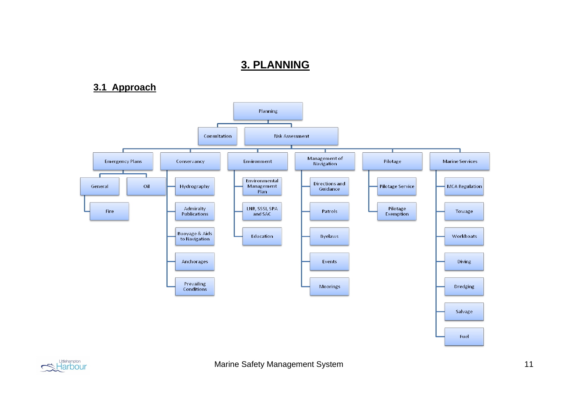## **3. PLANNING**

## **3.1 Approach**



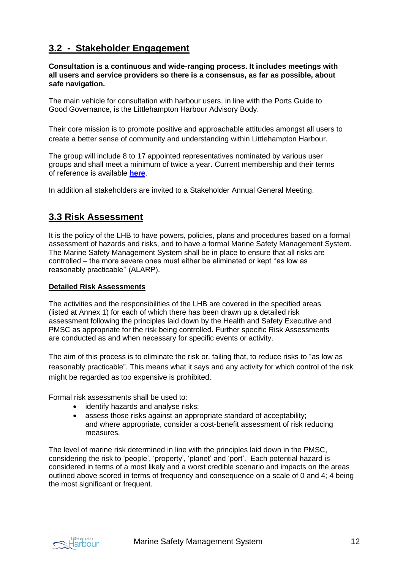## **3.2 - Stakeholder Engagement**

**Consultation is a continuous and wide-ranging process. It includes meetings with all users and service providers so there is a consensus, as far as possible, about safe navigation.**

The main vehicle for consultation with harbour users, in line with the Ports Guide to Good Governance, is the Littlehampton Harbour Advisory Body.

Their core mission is to promote positive and approachable attitudes amongst all users to create a better sense of community and understanding within Littlehampton Harbour.

The group will include 8 to 17 appointed representatives nominated by various user groups and shall meet a minimum of twice a year. Current membership and their terms of reference is available **[here](https://www.littlehampton.org.uk/harbour-advisory-body/)**.

In addition all stakeholders are invited to a Stakeholder Annual General Meeting.

## **3.3 Risk Assessment**

It is the policy of the LHB to have powers, policies, plans and procedures based on a formal assessment of hazards and risks, and to have a formal Marine Safety Management System. The Marine Safety Management System shall be in place to ensure that all risks are controlled – the more severe ones must either be eliminated or kept ''as low as reasonably practicable'' (ALARP).

#### **Detailed Risk Assessments**

The activities and the responsibilities of the LHB are covered in the specified areas (listed at Annex 1) for each of which there has been drawn up a detailed risk assessment following the principles laid down by the Health and Safety Executive and PMSC as appropriate for the risk being controlled. Further specific Risk Assessments are conducted as and when necessary for specific events or activity.

The aim of this process is to eliminate the risk or, failing that, to reduce risks to "as low as reasonably practicable". This means what it says and any activity for which control of the risk might be regarded as too expensive is prohibited.

Formal risk assessments shall be used to:

- identify hazards and analyse risks;
- assess those risks against an appropriate standard of acceptability; and where appropriate, consider a cost-benefit assessment of risk reducing measures.

The level of marine risk determined in line with the principles laid down in the PMSC, considering the risk to 'people', 'property', 'planet' and 'port'. Each potential hazard is considered in terms of a most likely and a worst credible scenario and impacts on the areas outlined above scored in terms of frequency and consequence on a scale of 0 and 4; 4 being the most significant or frequent.

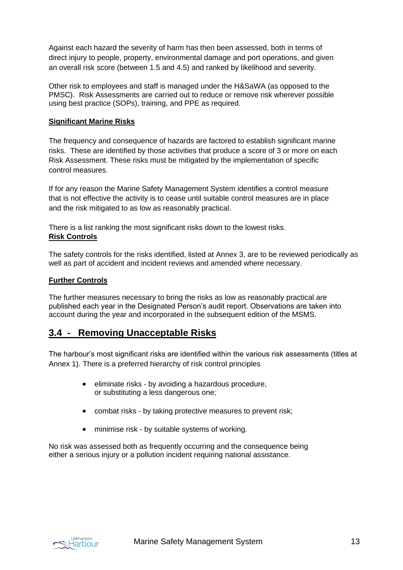Against each hazard the severity of harm has then been assessed, both in terms of direct injury to people, property, environmental damage and port operations, and given an overall risk score (between 1.5 and 4.5) and ranked by likelihood and severity.

Other risk to employees and staff is managed under the H&SaWA (as opposed to the PMSC). Risk Assessments are carried out to reduce or remove risk wherever possible using best practice (SOPs), training, and PPE as required.

#### **Significant Marine Risks**

The frequency and consequence of hazards are factored to establish significant marine risks. These are identified by those activities that produce a score of 3 or more on each Risk Assessment. These risks must be mitigated by the implementation of specific control measures.

If for any reason the Marine Safety Management System identifies a control measure that is not effective the activity is to cease until suitable control measures are in place and the risk mitigated to as low as reasonably practical.

There is a list ranking the most significant risks down to the lowest risks. **Risk Controls**

The safety controls for the risks identified, listed at Annex 3, are to be reviewed periodically as well as part of accident and incident reviews and amended where necessary.

#### **Further Controls**

The further measures necessary to bring the risks as low as reasonably practical are published each year in the Designated Person's audit report. Observations are taken into account during the year and incorporated in the subsequent edition of the MSMS.

### **3.4 - Removing Unacceptable Risks**

The harbour's most significant risks are identified within the various risk assessments (titles at Annex 1). There is a preferred hierarchy of risk control principles

- eliminate risks by avoiding a hazardous procedure, or substituting a less dangerous one;
- combat risks by taking protective measures to prevent risk;
- minimise risk by suitable systems of working.

No risk was assessed both as frequently occurring and the consequence being either a serious injury or a pollution incident requiring national assistance.

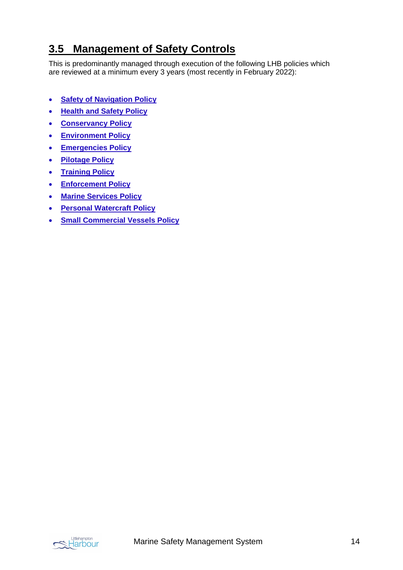## **3.5 Management of Safety Controls**

This is predominantly managed through execution of the following LHB policies which are reviewed at a minimum every 3 years (most recently in February 2022):

- **[Safety of Navigation Policy](https://www.littlehampton.org.uk/wp-content/uploads/2022/02/LHB-Policy_Safety-of-Navigation_Signed-Feb22.pdf)**
- **[Health and Safety Policy](https://www.littlehampton.org.uk/wp-content/uploads/2022/02/LHB-Policy_Health-and-Safety_Signed-Feb22.pdf)**
- **[Conservancy Policy](https://www.littlehampton.org.uk/wp-content/uploads/2022/02/LHB-Policy_Conservancy_Signed-Feb22.pdf)**
- **[Environment Policy](https://www.littlehampton.org.uk/wp-content/uploads/2022/02/LHB-Policy_Environment_Signed-Feb22.pdf)**
- **[Emergencies Policy](https://www.littlehampton.org.uk/wp-content/uploads/2022/02/LHB-Policy_Emergencies_Signed-Feb22.pdf)**
- **[Pilotage Policy](https://www.littlehampton.org.uk/wp-content/uploads/2022/02/LHB-Policy_Pilotage_Signed-Feb22.pdf)**
- **[Training Policy](https://www.littlehampton.org.uk/wp-content/uploads/2022/02/LHB-Policy_Training_Signed-Feb22.pdf)**
- **[Enforcement Policy](https://www.littlehampton.org.uk/wp-content/uploads/2022/02/LHB-Policy_Enforcement_Signed-Feb22.pdf)**
- **[Marine Services Policy](https://www.littlehampton.org.uk/wp-admin/upload.php?item=7207)**
- **[Personal Watercraft Policy](https://www.littlehampton.org.uk/wp-content/uploads/2022/02/LHB-Policy_Personal-Watercraft_Signed-Feb22.pdf)**
- **[Small Commercial Vessels Policy](https://www.littlehampton.org.uk/wp-content/uploads/2022/02/LHB-Policy_Small-Commercial-Vessels_Signed-Feb22.pdf)**

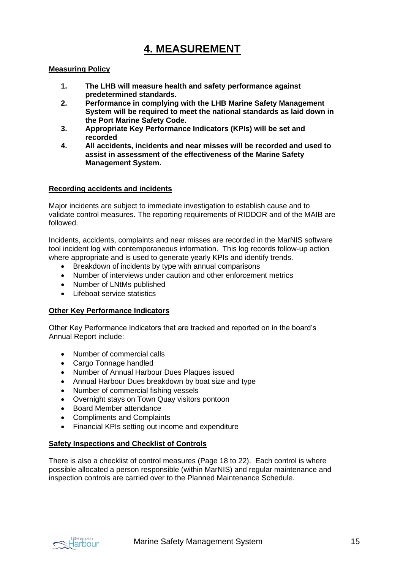## **4. MEASUREMENT**

#### **Measuring Policy**

- **1. The LHB will measure health and safety performance against predetermined standards.**
- **2. Performance in complying with the LHB Marine Safety Management System will be required to meet the national standards as laid down in the Port Marine Safety Code.**
- **3. Appropriate Key Performance Indicators (KPIs) will be set and recorded**
- **4. All accidents, incidents and near misses will be recorded and used to assist in assessment of the effectiveness of the Marine Safety Management System.**

#### **Recording accidents and incidents**

Major incidents are subject to immediate investigation to establish cause and to validate control measures. The reporting requirements of RIDDOR and of the MAIB are followed.

Incidents, accidents, complaints and near misses are recorded in the MarNIS software tool incident log with contemporaneous information. This log records follow-up action where appropriate and is used to generate yearly KPIs and identify trends.

- Breakdown of incidents by type with annual comparisons
- Number of interviews under caution and other enforcement metrics
- Number of LNtMs published
- Lifeboat service statistics

#### **Other Key Performance Indicators**

Other Key Performance Indicators that are tracked and reported on in the board's Annual Report include:

- Number of commercial calls
- Cargo Tonnage handled
- Number of Annual Harbour Dues Plaques issued
- Annual Harbour Dues breakdown by boat size and type
- Number of commercial fishing vessels
- Overnight stays on Town Quay visitors pontoon
- Board Member attendance
- Compliments and Complaints
- Financial KPIs setting out income and expenditure

#### **Safety Inspections and Checklist of Controls**

There is also a checklist of control measures (Page 18 to 22). Each control is where possible allocated a person responsible (within MarNIS) and regular maintenance and inspection controls are carried over to the Planned Maintenance Schedule.

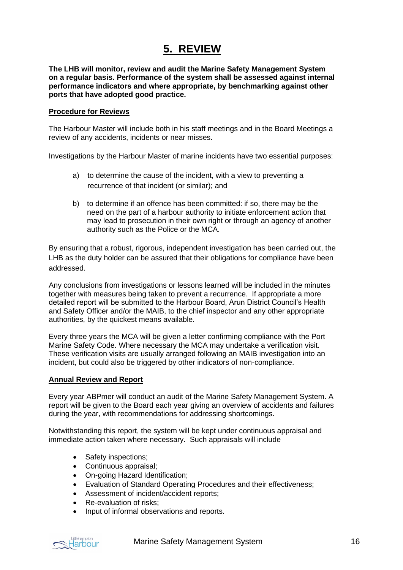## **5. REVIEW**

**The LHB will monitor, review and audit the Marine Safety Management System on a regular basis. Performance of the system shall be assessed against internal performance indicators and where appropriate, by benchmarking against other ports that have adopted good practice.**

#### **Procedure for Reviews**

The Harbour Master will include both in his staff meetings and in the Board Meetings a review of any accidents, incidents or near misses.

Investigations by the Harbour Master of marine incidents have two essential purposes:

- a) to determine the cause of the incident, with a view to preventing a recurrence of that incident (or similar); and
- b) to determine if an offence has been committed: if so, there may be the need on the part of a harbour authority to initiate enforcement action that may lead to prosecution in their own right or through an agency of another authority such as the Police or the MCA.

By ensuring that a robust, rigorous, independent investigation has been carried out, the LHB as the duty holder can be assured that their obligations for compliance have been addressed.

Any conclusions from investigations or lessons learned will be included in the minutes together with measures being taken to prevent a recurrence. If appropriate a more detailed report will be submitted to the Harbour Board, Arun District Council's Health and Safety Officer and/or the MAIB, to the chief inspector and any other appropriate authorities, by the quickest means available.

Every three years the MCA will be given a letter confirming compliance with the Port Marine Safety Code. Where necessary the MCA may undertake a verification visit. These verification visits are usually arranged following an MAIB investigation into an incident, but could also be triggered by other indicators of non-compliance.

#### **Annual Review and Report**

Every year ABPmer will conduct an audit of the Marine Safety Management System. A report will be given to the Board each year giving an overview of accidents and failures during the year, with recommendations for addressing shortcomings.

Notwithstanding this report, the system will be kept under continuous appraisal and immediate action taken where necessary. Such appraisals will include

- Safety inspections;
- Continuous appraisal;
- On-going Hazard Identification;
- Evaluation of Standard Operating Procedures and their effectiveness;
- Assessment of incident/accident reports;
- Re-evaluation of risks:
- Input of informal observations and reports.



Marine Safety Management System **16**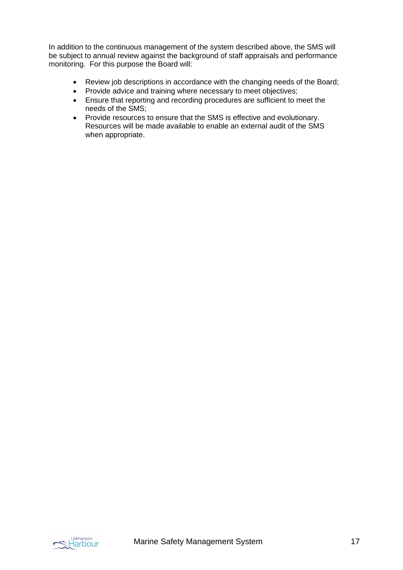In addition to the continuous management of the system described above, the SMS will be subject to annual review against the background of staff appraisals and performance monitoring. For this purpose the Board will:

- Review job descriptions in accordance with the changing needs of the Board;
- Provide advice and training where necessary to meet objectives;
- Ensure that reporting and recording procedures are sufficient to meet the needs of the SMS;
- Provide resources to ensure that the SMS is effective and evolutionary. Resources will be made available to enable an external audit of the SMS when appropriate.

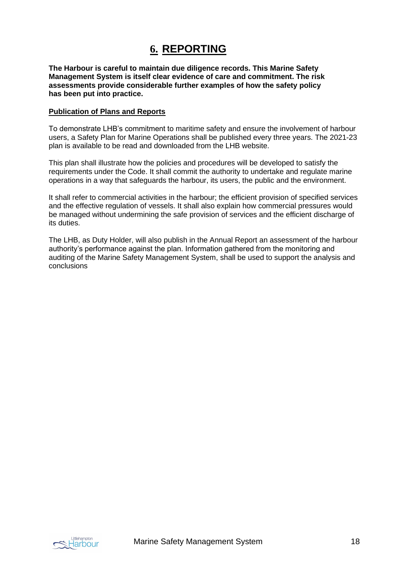## **6. REPORTING**

**The Harbour is careful to maintain due diligence records. This Marine Safety Management System is itself clear evidence of care and commitment. The risk assessments provide considerable further examples of how the safety policy has been put into practice.**

#### **Publication of Plans and Reports**

To demonstrate LHB's commitment to maritime safety and ensure the involvement of harbour users, a Safety Plan for Marine Operations shall be published every three years. The 2021-23 plan is available to be read and downloaded from the LHB website.

This plan shall illustrate how the policies and procedures will be developed to satisfy the requirements under the Code. It shall commit the authority to undertake and regulate marine operations in a way that safeguards the harbour, its users, the public and the environment.

It shall refer to commercial activities in the harbour; the efficient provision of specified services and the effective regulation of vessels. It shall also explain how commercial pressures would be managed without undermining the safe provision of services and the efficient discharge of its duties.

The LHB, as Duty Holder, will also publish in the Annual Report an assessment of the harbour authority's performance against the plan. Information gathered from the monitoring and auditing of the Marine Safety Management System, shall be used to support the analysis and conclusions

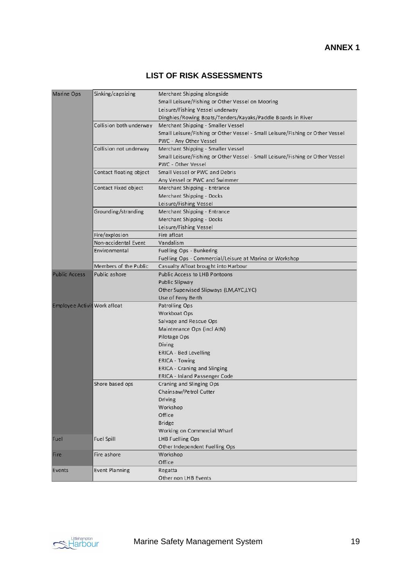### **LIST OF RISK ASSESSMENTS**

| Marine Ops                   | Sinking/capsizing                      | Merchant Shipping alongside                                                   |
|------------------------------|----------------------------------------|-------------------------------------------------------------------------------|
|                              |                                        | Small Leisure/Fishing or Other Vessel on Mooring                              |
|                              |                                        | Leisure/Fishing Vessel underway                                               |
|                              |                                        | Dinghies/Rowing Boats/Tenders/Kayaks/Paddle Boards in River                   |
|                              | Collision both underway                | Merchant Shipping - Smaller Vessel                                            |
|                              |                                        | Small Leisure/Fishing or Other Vessel - Small Leisure/Fishing or Other Vessel |
|                              |                                        | PWC - Any Other Vessel                                                        |
|                              | Collision not underway                 | Merchant Shipping - Smaller Vessel                                            |
|                              |                                        | Small Leisure/Fishing or Other Vessel - Small Leisure/Fishing or Other Vessel |
|                              |                                        | PWC - Other Vessel                                                            |
|                              | Contact floating object                | Small Vessel or PWC and Debris                                                |
|                              |                                        | Any Vessel or PWC and Swimmer                                                 |
|                              | Contact Fixed object                   | Merchant Shipping - Entrance                                                  |
|                              |                                        | Merchant Shipping - Docks                                                     |
|                              |                                        | Leisure/Fishing Vessel                                                        |
|                              | Grounding/stranding                    | Merchant Shipping - Entrance                                                  |
|                              |                                        |                                                                               |
|                              |                                        | Merchant Shipping - Docks                                                     |
|                              |                                        | Leisure/Fishing Vessel                                                        |
|                              | Fire/explosion<br>Non-accidental Event | Fire afloat                                                                   |
|                              |                                        | Vandalism                                                                     |
|                              | Environmental                          | Fuelling Ops - Bunkering                                                      |
|                              |                                        | Fuelling Ops - Commercial/Leisure at Marina or Workshop                       |
|                              | Members of the Public                  | Casualty Afloat brought into Harbour                                          |
| <b>Public Access</b>         | Public ashore                          | Public Access to LHB Pontoons                                                 |
|                              |                                        | Public Slipway                                                                |
|                              |                                        | Other Supervised Slipways (LM, AYC, LYC)                                      |
|                              |                                        | Use of Ferry Berth                                                            |
| Employee Activit Work afloat |                                        | Patrolling Ops                                                                |
|                              |                                        | Workboat Ops                                                                  |
|                              |                                        | Salvage and Rescue Ops                                                        |
|                              |                                        | Maintenance Ops (incl AtN)                                                    |
|                              |                                        | Pilotage Ops                                                                  |
|                              |                                        | Diving                                                                        |
|                              |                                        | ERICA - Bed Levelling                                                         |
|                              |                                        | ERICA - Towing                                                                |
|                              |                                        | <b>ERICA - Craning and Slinging</b>                                           |
|                              |                                        | ERICA - Inland Passenger Code                                                 |
|                              | Shore based ops                        | Craning and Slinging Ops                                                      |
|                              |                                        | Chainsaw/Petrol Cutter                                                        |
|                              |                                        | Driving                                                                       |
|                              |                                        | Workshop                                                                      |
|                              |                                        | Office                                                                        |
|                              |                                        | <b>Bridge</b>                                                                 |
|                              |                                        | Working on Commercial Wharf                                                   |
| Fuel                         | Fuel Spill                             | LHB Fuelling Ops                                                              |
|                              |                                        |                                                                               |
|                              | Fire ashore                            | Other Independent Fuelling Ops<br>Workshop                                    |
| Fire                         |                                        |                                                                               |
|                              | Event Planning                         | Office<br>Regatta                                                             |
| Events                       |                                        |                                                                               |
|                              |                                        | Other non LHB Events                                                          |

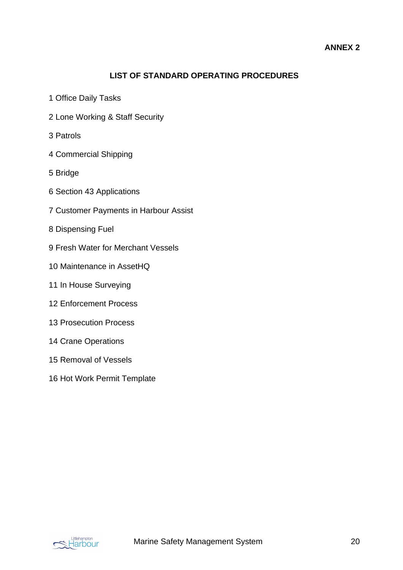### **LIST OF STANDARD OPERATING PROCEDURES**

- 1 Office Daily Tasks
- 2 Lone Working & Staff Security
- 3 Patrols
- 4 Commercial Shipping
- 5 Bridge
- 6 Section 43 Applications
- 7 Customer Payments in Harbour Assist
- 8 Dispensing Fuel
- 9 Fresh Water for Merchant Vessels
- 10 Maintenance in AssetHQ
- 11 In House Surveying
- 12 Enforcement Process
- 13 Prosecution Process
- 14 Crane Operations
- 15 Removal of Vessels
- 16 Hot Work Permit Template

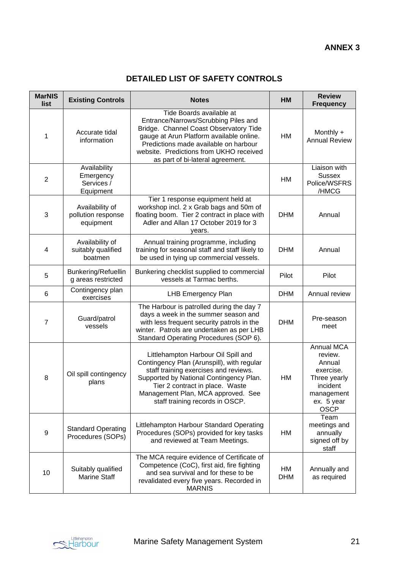### **DETAILED LIST OF SAFETY CONTROLS**

| <b>MarNIS</b><br>list | <b>Existing Controls</b>                             | <b>Notes</b>                                                                                                                                                                                                                                                                      | HM               | <b>Review</b><br><b>Frequency</b>                                                                                   |
|-----------------------|------------------------------------------------------|-----------------------------------------------------------------------------------------------------------------------------------------------------------------------------------------------------------------------------------------------------------------------------------|------------------|---------------------------------------------------------------------------------------------------------------------|
| 1                     | Accurate tidal<br>information                        | Tide Boards available at<br>Entrance/Narrows/Scrubbing Piles and<br>Bridge. Channel Coast Observatory Tide<br>gauge at Arun Platform available online.<br>Predictions made available on harbour<br>website. Predictions from UKHO received<br>as part of bi-lateral agreement.    | HM               | Monthly +<br><b>Annual Review</b>                                                                                   |
| $\overline{2}$        | Availability<br>Emergency<br>Services /<br>Equipment |                                                                                                                                                                                                                                                                                   | <b>HM</b>        | Liaison with<br><b>Sussex</b><br>Police/WSFRS<br>/HMCG                                                              |
| 3                     | Availability of<br>pollution response<br>equipment   | Tier 1 response equipment held at<br>workshop incl. 2 x Grab bags and 50m of<br>floating boom. Tier 2 contract in place with<br>Adler and Allan 17 October 2019 for 3<br>years.                                                                                                   | <b>DHM</b>       | Annual                                                                                                              |
| 4                     | Availability of<br>suitably qualified<br>boatmen     | Annual training programme, including<br>training for seasonal staff and staff likely to<br>be used in tying up commercial vessels.                                                                                                                                                | <b>DHM</b>       | Annual                                                                                                              |
| 5                     | Bunkering/Refuellin<br>g areas restricted            | Bunkering checklist supplied to commercial<br>vessels at Tarmac berths.                                                                                                                                                                                                           | Pilot            | Pilot                                                                                                               |
| 6                     | Contingency plan<br>exercises                        | LHB Emergency Plan                                                                                                                                                                                                                                                                | <b>DHM</b>       | Annual review                                                                                                       |
| 7                     | Guard/patrol<br>vessels                              | The Harbour is patrolled during the day 7<br>days a week in the summer season and<br>with less frequent security patrols in the<br>winter. Patrols are undertaken as per LHB<br>Standard Operating Procedures (SOP 6).                                                            | <b>DHM</b>       | Pre-season<br>meet                                                                                                  |
| 8                     | Oil spill contingency<br>plans                       | Littlehampton Harbour Oil Spill and<br>Contingency Plan (Arunspill), with regular<br>staff training exercises and reviews.<br>Supported by National Contingency Plan.<br>Tier 2 contract in place. Waste<br>Management Plan, MCA approved. See<br>staff training records in OSCP. | HM               | Annual MCA<br>review.<br>Annual<br>exercise.<br>Three yearly<br>incident<br>management<br>ex. 5 year<br><b>OSCP</b> |
| 9                     | <b>Standard Operating</b><br>Procedures (SOPs)       | Littlehampton Harbour Standard Operating<br>Procedures (SOPs) provided for key tasks<br>and reviewed at Team Meetings.                                                                                                                                                            | HM               | Team<br>meetings and<br>annually<br>signed off by<br>staff                                                          |
| 10                    | Suitably qualified<br><b>Marine Staff</b>            | The MCA require evidence of Certificate of<br>Competence (CoC), first aid, fire fighting<br>and sea survival and for these to be<br>revalidated every five years. Recorded in<br><b>MARNIS</b>                                                                                    | HM<br><b>DHM</b> | Annually and<br>as required                                                                                         |

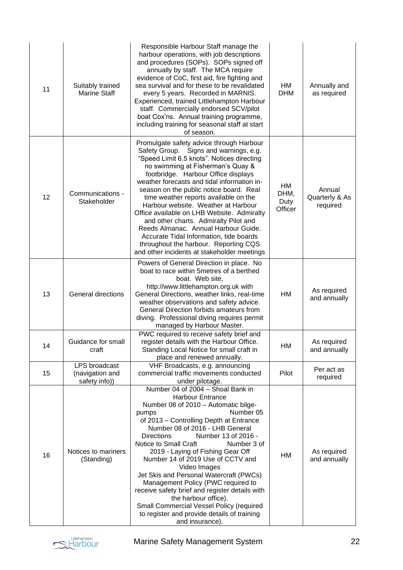| 11 | Suitably trained<br><b>Marine Staff</b>                  | Responsible Harbour Staff manage the<br>harbour operations, with job descriptions<br>and procedures (SOPs). SOPs signed off<br>annually by staff. The MCA require<br>evidence of CoC, first aid, fire fighting and<br>sea survival and for these to be revalidated<br>every 5 years. Recorded in MARNIS.<br>Experienced, trained Littlehampton Harbour<br>staff. Commercially endorsed SCV/pilot<br>boat Cox'ns. Annual training programme,<br>including training for seasonal staff at start<br>of season.                                                                                                                                                     | HM<br><b>DHM</b>              | Annually and<br>as required          |
|----|----------------------------------------------------------|-----------------------------------------------------------------------------------------------------------------------------------------------------------------------------------------------------------------------------------------------------------------------------------------------------------------------------------------------------------------------------------------------------------------------------------------------------------------------------------------------------------------------------------------------------------------------------------------------------------------------------------------------------------------|-------------------------------|--------------------------------------|
| 12 | Communications -<br>Stakeholder                          | Promulgate safety advice through Harbour<br>Safety Group. Signs and warnings, e.g.<br>"Speed Limit 6.5 knots". Notices directing<br>no swimming at Fisherman's Quay &<br>footbridge. Harbour Office displays<br>weather forecasts and tidal information in-<br>season on the public notice board. Real<br>time weather reports available on the<br>Harbour website. Weather at Harbour<br>Office available on LHB Website. Admiralty<br>and other charts. Admiralty Pilot and<br>Reeds Almanac. Annual Harbour Guide.<br>Accurate Tidal Information, tide boards<br>throughout the harbour. Reporting CQS<br>and other incidents at stakeholder meetings        | HM<br>DHM,<br>Duty<br>Officer | Annual<br>Quarterly & As<br>required |
| 13 | <b>General directions</b>                                | Powers of General Direction in place. No<br>boat to race within 5 metres of a berthed<br>boat. Web site,<br>http://www.littlehampton.org.uk with<br>General Directions, weather links, real-time<br>weather observations and safety advice.<br>General Direction forbids amateurs from<br>diving. Professional diving requires permit<br>managed by Harbour Master.                                                                                                                                                                                                                                                                                             | <b>HM</b>                     | As required<br>and annually          |
| 14 | Guidance for small<br>craft                              | PWC required to receive safety brief and<br>register details with the Harbour Office.<br>Standing Local Notice for small craft in<br>place and renewed annually.                                                                                                                                                                                                                                                                                                                                                                                                                                                                                                | HМ                            | As required<br>and annually          |
| 15 | <b>LPS</b> broadcast<br>(navigation and<br>safety info)) | VHF Broadcasts, e.g. announcing<br>commercial traffic movements conducted<br>under pilotage.                                                                                                                                                                                                                                                                                                                                                                                                                                                                                                                                                                    | Pilot                         | Per act as<br>required               |
| 16 | Notices to mariners<br>(Standing)                        | Number 04 of 2004 - Shoal Bank in<br><b>Harbour Entrance</b><br>Number 08 of 2010 - Automatic bilge-<br>Number 05<br>pumps<br>of 2013 - Controlling Depth at Entrance<br>Number 08 of 2016 - LHB General<br>Number 13 of 2016 -<br><b>Directions</b><br>Notice to Small Craft<br>Number 3 of<br>2019 - Laying of Fishing Gear Off<br>Number 14 of 2019 Use of CCTV and<br>Video Images<br>Jet Skis and Personal Watercraft (PWCs)<br>Management Policy (PWC required to<br>receive safety brief and register details with<br>the harbour office).<br>Small Commercial Vessel Policy (required<br>to register and provide details of training<br>and insurance). | HM                            | As required<br>and annually          |

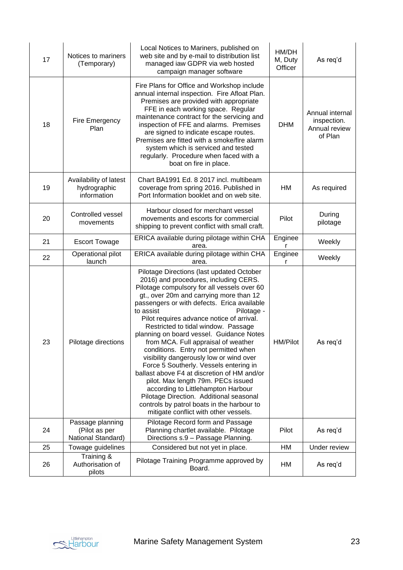| 17 | Notices to mariners<br>(Temporary)                    | Local Notices to Mariners, published on<br>web site and by e-mail to distribution list<br>managed iaw GDPR via web hosted<br>campaign manager software                                                                                                                                                                                                                                                                                                                                                                                                                                                                                                                                                                                                                                                                  | HM/DH<br>M, Duty<br>Officer | As req'd                                                   |
|----|-------------------------------------------------------|-------------------------------------------------------------------------------------------------------------------------------------------------------------------------------------------------------------------------------------------------------------------------------------------------------------------------------------------------------------------------------------------------------------------------------------------------------------------------------------------------------------------------------------------------------------------------------------------------------------------------------------------------------------------------------------------------------------------------------------------------------------------------------------------------------------------------|-----------------------------|------------------------------------------------------------|
| 18 | Fire Emergency<br>Plan                                | Fire Plans for Office and Workshop include<br>annual internal inspection. Fire Afloat Plan.<br>Premises are provided with appropriate<br>FFE in each working space. Regular<br>maintenance contract for the servicing and<br>inspection of FFE and alarms. Premises<br>are signed to indicate escape routes.<br>Premises are fitted with a smoke/fire alarm<br>system which is serviced and tested<br>regularly. Procedure when faced with a<br>boat on fire in place.                                                                                                                                                                                                                                                                                                                                                  | <b>DHM</b>                  | Annual internal<br>inspection.<br>Annual review<br>of Plan |
| 19 | Availability of latest<br>hydrographic<br>information | Chart BA1991 Ed. 8 2017 incl. multibeam<br>coverage from spring 2016. Published in<br>Port Information booklet and on web site.                                                                                                                                                                                                                                                                                                                                                                                                                                                                                                                                                                                                                                                                                         | HM                          | As required                                                |
| 20 | Controlled vessel<br>movements                        | Harbour closed for merchant vessel<br>movements and escorts for commercial<br>shipping to prevent conflict with small craft.                                                                                                                                                                                                                                                                                                                                                                                                                                                                                                                                                                                                                                                                                            | Pilot                       | During<br>pilotage                                         |
| 21 | <b>Escort Towage</b>                                  | ERICA available during pilotage within CHA<br>area.                                                                                                                                                                                                                                                                                                                                                                                                                                                                                                                                                                                                                                                                                                                                                                     | Enginee                     | Weekly                                                     |
| 22 | Operational pilot<br>launch                           | ERICA available during pilotage within CHA<br>area.                                                                                                                                                                                                                                                                                                                                                                                                                                                                                                                                                                                                                                                                                                                                                                     | Enginee                     | Weekly                                                     |
| 23 | Pilotage directions                                   | Pilotage Directions (last updated October<br>2016) and procedures, including CERS.<br>Pilotage compulsory for all vessels over 60<br>gt., over 20m and carrying more than 12<br>passengers or with defects. Erica available<br>to assist<br>Pilotage -<br>Pilot requires advance notice of arrival.<br>Restricted to tidal window. Passage<br>planning on board vessel. Guidance Notes<br>from MCA. Full appraisal of weather<br>conditions. Entry not permitted when<br>visibility dangerously low or wind over<br>Force 5 Southerly. Vessels entering in<br>ballast above F4 at discretion of HM and/or<br>pilot. Max length 79m. PECs issued<br>according to Littlehampton Harbour<br>Pilotage Direction. Additional seasonal<br>controls by patrol boats in the harbour to<br>mitigate conflict with other vessels. | <b>HM/Pilot</b>             | As req'd                                                   |
|    | Passage planning                                      | Pilotage Record form and Passage                                                                                                                                                                                                                                                                                                                                                                                                                                                                                                                                                                                                                                                                                                                                                                                        |                             |                                                            |
| 24 | (Pilot as per<br>National Standard)                   | Planning chartlet available. Pilotage<br>Directions s.9 - Passage Planning.                                                                                                                                                                                                                                                                                                                                                                                                                                                                                                                                                                                                                                                                                                                                             | Pilot                       | As req'd                                                   |
| 25 | Towage guidelines                                     | Considered but not yet in place.                                                                                                                                                                                                                                                                                                                                                                                                                                                                                                                                                                                                                                                                                                                                                                                        | HM                          | Under review                                               |
| 26 | Training &<br>Authorisation of<br>pilots              | Pilotage Training Programme approved by<br>Board.                                                                                                                                                                                                                                                                                                                                                                                                                                                                                                                                                                                                                                                                                                                                                                       | HM                          | As req'd                                                   |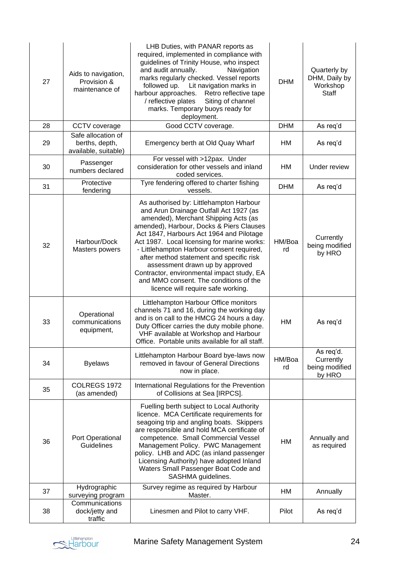| 27 | Aids to navigation,<br>Provision &<br>maintenance of         | LHB Duties, with PANAR reports as<br>required, implemented in compliance with<br>guidelines of Trinity House, who inspect<br>and audit annually.<br>Navigation<br>marks regularly checked. Vessel reports<br>followed up.<br>Lit navigation marks in<br>harbour approaches.<br>Retro reflective tape<br>/ reflective plates<br>Siting of channel<br>marks. Temporary buoys ready for<br>deployment.                                                                                                                        | <b>DHM</b>   | Quarterly by<br>DHM, Daily by<br>Workshop<br><b>Staff</b> |
|----|--------------------------------------------------------------|----------------------------------------------------------------------------------------------------------------------------------------------------------------------------------------------------------------------------------------------------------------------------------------------------------------------------------------------------------------------------------------------------------------------------------------------------------------------------------------------------------------------------|--------------|-----------------------------------------------------------|
| 28 | CCTV coverage                                                | Good CCTV coverage.                                                                                                                                                                                                                                                                                                                                                                                                                                                                                                        | <b>DHM</b>   | As req'd                                                  |
| 29 | Safe allocation of<br>berths, depth,<br>available, suitable) | Emergency berth at Old Quay Wharf                                                                                                                                                                                                                                                                                                                                                                                                                                                                                          | HM           | As req'd                                                  |
| 30 | Passenger<br>numbers declared                                | For vessel with >12pax. Under<br>consideration for other vessels and inland<br>coded services.                                                                                                                                                                                                                                                                                                                                                                                                                             | HM           | Under review                                              |
| 31 | Protective<br>fendering                                      | Tyre fendering offered to charter fishing<br>vessels.                                                                                                                                                                                                                                                                                                                                                                                                                                                                      | <b>DHM</b>   | As req'd                                                  |
| 32 | Harbour/Dock<br>Masters powers                               | As authorised by: Littlehampton Harbour<br>and Arun Drainage Outfall Act 1927 (as<br>amended), Merchant Shipping Acts (as<br>amended), Harbour, Docks & Piers Clauses<br>Act 1847, Harbours Act 1964 and Pilotage<br>Act 1987. Local licensing for marine works:<br>- Littlehampton Harbour consent required,<br>after method statement and specific risk<br>assessment drawn up by approved<br>Contractor, environmental impact study, EA<br>and MMO consent. The conditions of the<br>licence will require safe working. | HM/Boa<br>rd | Currently<br>being modified<br>by HRO                     |
| 33 | Operational<br>communications<br>equipment,                  | Littlehampton Harbour Office monitors<br>channels 71 and 16, during the working day<br>and is on call to the HMCG 24 hours a day.<br>Duty Officer carries the duty mobile phone.<br>VHF available at Workshop and Harbour<br>Office. Portable units available for all staff.                                                                                                                                                                                                                                               | <b>HM</b>    | As req'd                                                  |
| 34 | <b>Byelaws</b>                                               | Littlehampton Harbour Board bye-laws now<br>removed in favour of General Directions<br>now in place.                                                                                                                                                                                                                                                                                                                                                                                                                       | HM/Boa<br>rd | As req'd.<br>Currently<br>being modified<br>by HRO        |
| 35 | COLREGS 1972<br>(as amended)                                 | International Regulations for the Prevention<br>of Collisions at Sea [IRPCS].                                                                                                                                                                                                                                                                                                                                                                                                                                              |              |                                                           |
| 36 | Port Operational<br>Guidelines                               | Fuelling berth subject to Local Authority<br>licence. MCA Certificate requirements for<br>seagoing trip and angling boats. Skippers<br>are responsible and hold MCA certificate of<br>competence. Small Commercial Vessel<br>Management Policy. PWC Management<br>policy. LHB and ADC (as inland passenger<br>Licensing Authority) have adopted Inland<br>Waters Small Passenger Boat Code and<br>SASHMA guidelines.                                                                                                       | HM           | Annually and<br>as required                               |
| 37 | Hydrographic<br>surveying program                            | Survey regime as required by Harbour<br>Master.                                                                                                                                                                                                                                                                                                                                                                                                                                                                            | НM           | Annually                                                  |
| 38 | Communications<br>dock/jetty and<br>traffic                  | Linesmen and Pilot to carry VHF.                                                                                                                                                                                                                                                                                                                                                                                                                                                                                           | Pilot        | As req'd                                                  |

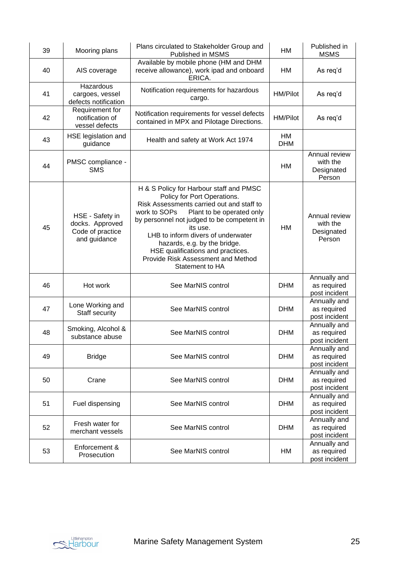| 39 | Mooring plans                                                          | Plans circulated to Stakeholder Group and<br>Published in MSMS                                                                                                                                                                                                                                                                                                                                 | <b>HM</b>               | Published in<br><b>MSMS</b>                       |
|----|------------------------------------------------------------------------|------------------------------------------------------------------------------------------------------------------------------------------------------------------------------------------------------------------------------------------------------------------------------------------------------------------------------------------------------------------------------------------------|-------------------------|---------------------------------------------------|
| 40 | AIS coverage                                                           | Available by mobile phone (HM and DHM<br>receive allowance), work ipad and onboard<br>ERICA.                                                                                                                                                                                                                                                                                                   | HM                      | As req'd                                          |
| 41 | Hazardous<br>cargoes, vessel<br>defects notification                   | Notification requirements for hazardous<br>cargo.                                                                                                                                                                                                                                                                                                                                              | <b>HM/Pilot</b>         | As req'd                                          |
| 42 | Requirement for<br>notification of<br>vessel defects                   | Notification requirements for vessel defects<br>contained in MPX and Pilotage Directions.                                                                                                                                                                                                                                                                                                      | <b>HM/Pilot</b>         | As req'd                                          |
| 43 | HSE legislation and<br>guidance                                        | Health and safety at Work Act 1974                                                                                                                                                                                                                                                                                                                                                             | <b>HM</b><br><b>DHM</b> |                                                   |
| 44 | PMSC compliance -<br><b>SMS</b>                                        |                                                                                                                                                                                                                                                                                                                                                                                                | <b>HM</b>               | Annual review<br>with the<br>Designated<br>Person |
| 45 | HSE - Safety in<br>docks. Approved<br>Code of practice<br>and guidance | H & S Policy for Harbour staff and PMSC<br>Policy for Port Operations.<br>Risk Assessments carried out and staff to<br>work to SOPs<br>Plant to be operated only<br>by personnel not judged to be competent in<br>its use.<br>LHB to inform divers of underwater<br>hazards, e.g. by the bridge.<br>HSE qualifications and practices.<br>Provide Risk Assessment and Method<br>Statement to HA | <b>HM</b>               | Annual review<br>with the<br>Designated<br>Person |
| 46 | Hot work                                                               | See MarNIS control                                                                                                                                                                                                                                                                                                                                                                             | <b>DHM</b>              | Annually and<br>as required<br>post incident      |
| 47 | Lone Working and<br>Staff security                                     | See MarNIS control                                                                                                                                                                                                                                                                                                                                                                             | <b>DHM</b>              | Annually and<br>as required<br>post incident      |
| 48 | Smoking, Alcohol &<br>substance abuse                                  | See MarNIS control                                                                                                                                                                                                                                                                                                                                                                             | <b>DHM</b>              | Annually and<br>as required<br>post incident      |
| 49 | <b>Bridge</b>                                                          | See MarNIS control                                                                                                                                                                                                                                                                                                                                                                             | <b>DHM</b>              | Annually and<br>as required<br>post incident      |
| 50 | Crane                                                                  | See MarNIS control                                                                                                                                                                                                                                                                                                                                                                             | <b>DHM</b>              | Annually and<br>as required<br>post incident      |
| 51 | Fuel dispensing                                                        | See MarNIS control                                                                                                                                                                                                                                                                                                                                                                             | <b>DHM</b>              | Annually and<br>as required<br>post incident      |
| 52 | Fresh water for<br>merchant vessels                                    | See MarNIS control                                                                                                                                                                                                                                                                                                                                                                             | <b>DHM</b>              | Annually and<br>as required<br>post incident      |
| 53 | Enforcement &<br>Prosecution                                           | See MarNIS control                                                                                                                                                                                                                                                                                                                                                                             | HM                      | Annually and<br>as required<br>post incident      |